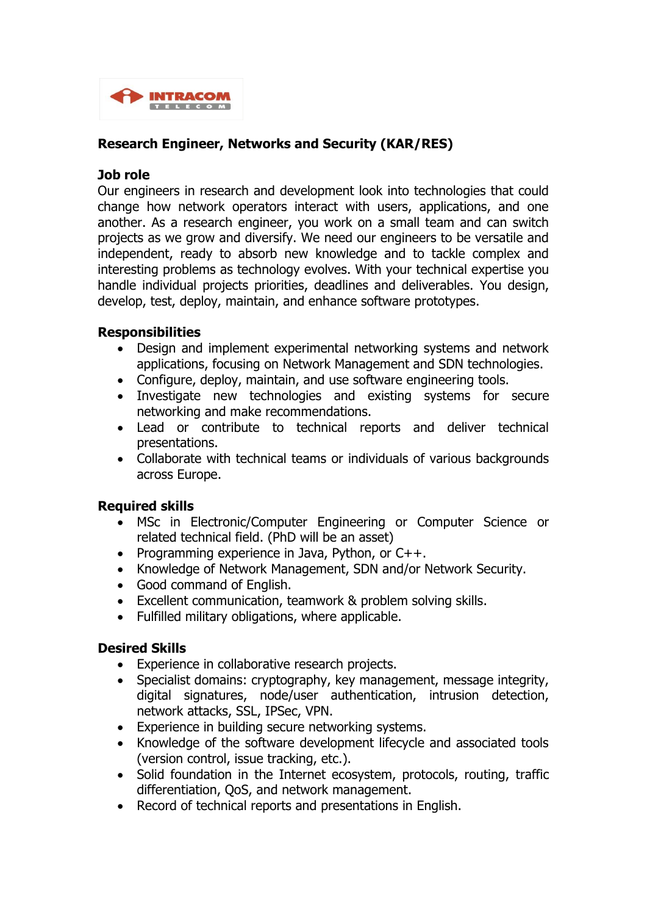

# **Research Engineer, Networks and Security (KAR/RES)**

#### **Job role**

Our engineers in research and development look into technologies that could change how network operators interact with users, applications, and one another. As a research engineer, you work on a small team and can switch projects as we grow and diversify. We need our engineers to be versatile and independent, ready to absorb new knowledge and to tackle complex and interesting problems as technology evolves. With your technical expertise you handle individual projects priorities, deadlines and deliverables. You design, develop, test, deploy, maintain, and enhance software prototypes.

#### **Responsibilities**

- Design and implement experimental networking systems and network applications, focusing on Network Management and SDN technologies.
- Configure, deploy, maintain, and use software engineering tools.
- Investigate new technologies and existing systems for secure networking and make recommendations.
- Lead or contribute to technical reports and deliver technical presentations.
- Collaborate with technical teams or individuals of various backgrounds across Europe.

## **Required skills**

- MSc in Electronic/Computer Engineering or Computer Science or related technical field. (PhD will be an asset)
- Programming experience in Java, Python, or  $C_{++}$ .
- Knowledge of Network Management, SDN and/or Network Security.
- Good command of English.
- Excellent communication, teamwork & problem solving skills.
- Fulfilled military obligations, where applicable.

## **Desired Skills**

- Experience in collaborative research projects.
- Specialist domains: cryptography, key management, message integrity, digital signatures, node/user authentication, intrusion detection, network attacks, SSL, IPSec, VPN.
- Experience in building secure networking systems.
- Knowledge of the software development lifecycle and associated tools (version control, issue tracking, etc.).
- Solid foundation in the Internet ecosystem, protocols, routing, traffic differentiation, QoS, and network management.
- Record of technical reports and presentations in English.